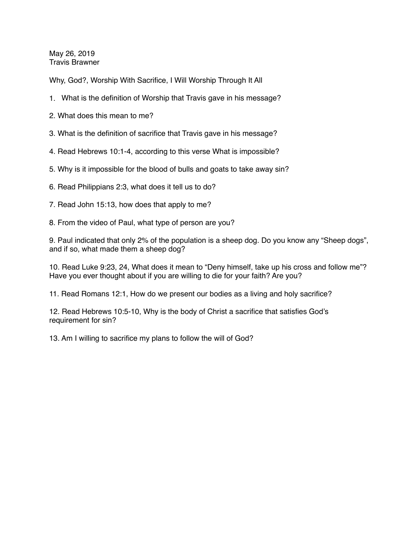May 26, 2019 Travis Brawner

Why, God?, Worship With Sacrifice, I Will Worship Through It All

- 1. What is the definition of Worship that Travis gave in his message?
- 2. What does this mean to me?
- 3. What is the definition of sacrifice that Travis gave in his message?
- 4. Read Hebrews 10:1-4, according to this verse What is impossible?
- 5. Why is it impossible for the blood of bulls and goats to take away sin?
- 6. Read Philippians 2:3, what does it tell us to do?
- 7. Read John 15:13, how does that apply to me?
- 8. From the video of Paul, what type of person are you?

9. Paul indicated that only 2% of the population is a sheep dog. Do you know any "Sheep dogs", and if so, what made them a sheep dog?

10. Read Luke 9:23, 24, What does it mean to "Deny himself, take up his cross and follow me"? Have you ever thought about if you are willing to die for your faith? Are you?

11. Read Romans 12:1, How do we present our bodies as a living and holy sacrifice?

12. Read Hebrews 10:5-10, Why is the body of Christ a sacrifice that satisfies God's requirement for sin?

13. Am I willing to sacrifice my plans to follow the will of God?